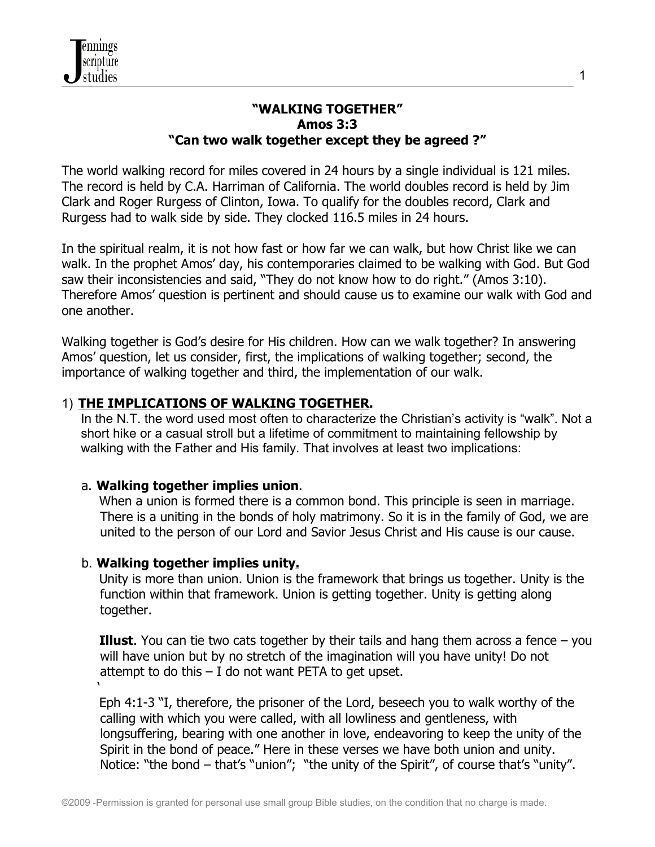#### **"WALKING TOGETHER" Amos 3:3 "Can two walk together except they be agreed ?"**

The world walking record for miles covered in 24 hours by a single individual is 121 miles. The record is held by C.A. Harriman of California. The world doubles record is held by Jim Clark and Roger Rurgess of Clinton, Iowa. To qualify for the doubles record, Clark and Rurgess had to walk side by side. They clocked 116.5 miles in 24 hours.

In the spiritual realm, it is not how fast or how far we can walk, but how Christ like we can walk. In the prophet Amos' day, his contemporaries claimed to be walking with God. But God saw their inconsistencies and said, "They do not know how to do right." (Amos 3:10). Therefore Amos' question is pertinent and should cause us to examine our walk with God and one another.

Walking together is God's desire for His children. How can we walk together? In answering Amos' question, let us consider, first, the implications of walking together; second, the importance of walking together and third, the implementation of our walk.

## 1) **THE IMPLICATIONS OF WALKING TOGETHER.**

In the N.T. the word used most often to characterize the Christian's activity is "walk". Not a short hike or a casual stroll but a lifetime of commitment to maintaining fellowship by walking with the Father and His family. That involves at least two implications:

### a. **Walking together implies union**.

When a union is formed there is a common bond. This principle is seen in marriage. There is a uniting in the bonds of holy matrimony. So it is in the family of God, we are united to the person of our Lord and Savior Jesus Christ and His cause is our cause.

### b. **Walking together implies unity.**

 $\mathbf{r}$ 

Unity is more than union. Union is the framework that brings us together. Unity is the function within that framework. Union is getting together. Unity is getting along together.

**Illust**. You can tie two cats together by their tails and hang them across a fence – you will have union but by no stretch of the imagination will you have unity! Do not attempt to do this  $-1$  do not want PETA to get upset.

Eph 4:1-3 "I, therefore, the prisoner of the Lord, beseech you to walk worthy of the calling with which you were called, with all lowliness and gentleness, with longsuffering, bearing with one another in love, endeavoring to keep the unity of the Spirit in the bond of peace." Here in these verses we have both union and unity. Notice: "the bond – that's "union"; "the unity of the Spirit", of course that's "unity".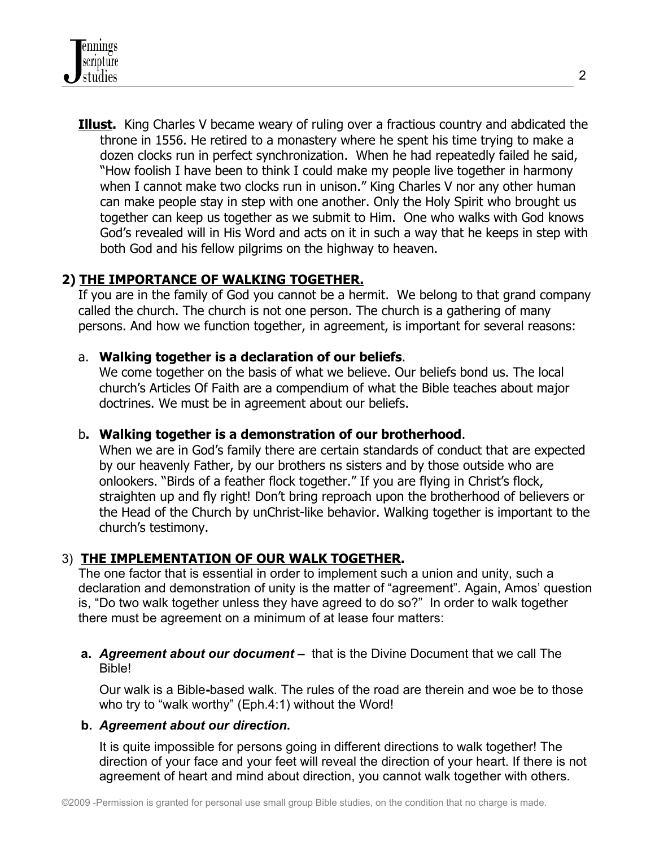**Illust.** King Charles V became weary of ruling over a fractious country and abdicated the throne in 1556. He retired to a monastery where he spent his time trying to make a dozen clocks run in perfect synchronization. When he had repeatedly failed he said, "How foolish I have been to think I could make my people live together in harmony when I cannot make two clocks run in unison." King Charles V nor any other human can make people stay in step with one another. Only the Holy Spirit who brought us together can keep us together as we submit to Him. One who walks with God knows God's revealed will in His Word and acts on it in such a way that he keeps in step with both God and his fellow pilgrims on the highway to heaven.

### **2) THE IMPORTANCE OF WALKING TOGETHER.**

If you are in the family of God you cannot be a hermit. We belong to that grand company called the church. The church is not one person. The church is a gathering of many persons. And how we function together, in agreement, is important for several reasons:

### a. **Walking together is a declaration of our beliefs**.

We come together on the basis of what we believe. Our beliefs bond us. The local church's Articles Of Faith are a compendium of what the Bible teaches about major doctrines. We must be in agreement about our beliefs.

### b**. Walking together is a demonstration of our brotherhood**.

When we are in God's family there are certain standards of conduct that are expected by our heavenly Father, by our brothers ns sisters and by those outside who are onlookers. "Birds of a feather flock together." If you are flying in Christ's flock, straighten up and fly right! Don't bring reproach upon the brotherhood of believers or the Head of the Church by unChrist-like behavior. Walking together is important to the church's testimony.

# 3) **THE IMPLEMENTATION OF OUR WALK TOGETHER.**

The one factor that is essential in order to implement such a union and unity, such a declaration and demonstration of unity is the matter of "agreement". Again, Amos' question is, "Do two walk together unless they have agreed to do so?" In order to walk together there must be agreement on a minimum of at lease four matters:

**a.** *Agreement about our document –* that is the Divine Document that we call The Bible!

Our walk is a Bible**-**based walk. The rules of the road are therein and woe be to those who try to "walk worthy" (Eph.4:1) without the Word!

#### **b.** *Agreement about our direction***.**

It is quite impossible for persons going in different directions to walk together! The direction of your face and your feet will reveal the direction of your heart. If there is not agreement of heart and mind about direction, you cannot walk together with others.